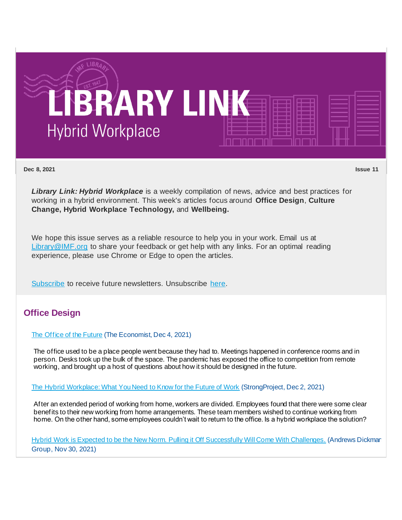

**Dec 8, 2021 Issue 11**

*Library Link: Hybrid Workplace* is a weekly compilation of news, advice and best practices for working in a hybrid environment. This week's articles focus around **Office Design**, **Culture Change, Hybrid Workplace Technology,** and **Wellbeing.**

We hope this issue serves as a reliable resource to help you in your work. Email us at [Library@IMF.org](mailto:Library@IMF.org) to share your feedback or get help with any links. For an optimal reading experience, please use Chrome or Edge to open the articles.

[Subscribe](http://t.imfconnect.imf.org/r/?id=h612b03,2fda960,2fe6e40&p1=%402KtchV5yqwNdY3_Jf_1S9JA5zsdBVIn1F4Q5seFrxwX_F4oETu-WdBewaWoMDnrPbUqcsRuAlPfF14FScuj0kv8ab1U) to receive future newsletters. Unsubscribe [here.](http://t.imfconnect.imf.org/r/?id=h612b03,2fda960,2fe6e41&p1=%402KtchV5yqwNdY3_Jf_1S9JA5zsdBVIn1F4Q5seFrxwX_F4oETu-WdBewaWoMDnrPbUqcsRuAlPfF14FScuj0kv8ab1U)

## **Office Design**

### [The Office of the Future](http://t.imfconnect.imf.org/r/?id=h612b03,2fda960,2fe6e42) (The Economist, Dec 4, 2021)

The office used to be a place people went because they had to. Meetings happened in conference rooms and in person. Desks took up the bulk of the space. The pandemic has exposed the office to competition from remote working, and brought up a host of questions about how it should be designed in the future.

#### [The Hybrid Workplace: What You Need to Know for the Future of Work](http://t.imfconnect.imf.org/r/?id=h612b03,2fda960,2fe6e43) (StrongProject, Dec 2, 2021)

After an extended period of working from home, workers are divided. Employees found that there were some clear benefits to their new working from home arrangements. These team members wished to continue working from home. On the other hand, some employees couldn't wait to return to the office. Is a hybrid workplace the solution?

[Hybrid Work is Expected to be the New Norm. Pulling it Off Successfully Will Come With Challenges.](http://t.imfconnect.imf.org/r/?id=h612b03,2fda960,2fe6e44) (Andrews Dickman Group, Nov 30, 2021)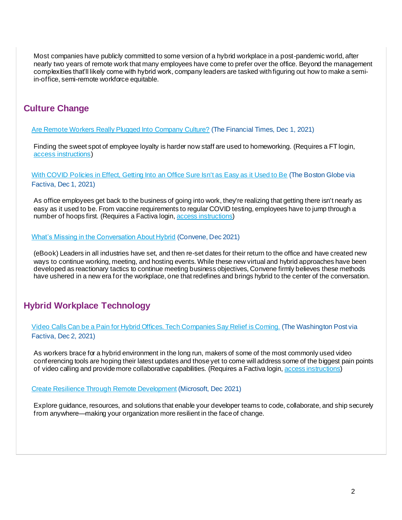Most companies have publicly committed to some version of a hybrid workplace in a post-pandemic world, after nearly two years of remote work that many employees have come to prefer over the office. Beyond the management complexities that'll likely come with hybrid work, company leaders are tasked with figuring out how to make a semiin-office, semi-remote workforce equitable.

# **Culture Change**

[Are Remote Workers Really Plugged Into Company Culture?](http://t.imfconnect.imf.org/r/?id=h612b03,2fda960,2fe6e45) (The Financial Times, Dec 1, 2021)

Finding the sweet spot of employee loyalty is harder now staff are used to homeworking. (Requires a FT login, [access instructions](http://t.imfconnect.imf.org/r/?id=h612b03,2fda960,2fe6e46))

[With COVID Policies in Effect, Getting Into an Office Sure Isn't as Easy as it Used to Be](http://t.imfconnect.imf.org/r/?id=h612b03,2fda960,2fe6e47) (The Boston Globe via Factiva, Dec 1, 2021)

As office employees get back to the business of going into work, they're realizing that getting there isn't nearly as easy as it used to be. From vaccine requirements to regular COVID testing, employees have to jump through a number of hoops first. (Requires a Factiva login[, access instructions](http://t.imfconnect.imf.org/r/?id=h612b03,2fda960,2fe6e48))

#### [What's Missing in the Conversation About Hybrid](http://t.imfconnect.imf.org/r/?id=h612b03,2fda960,2fe6e49) (Convene, Dec 2021)

(eBook) Leaders in all industries have set, and then re-set dates for their return to the office and have created new ways to continue working, meeting, and hosting events. While these new virtual and hybrid approaches have been developed as reactionary tactics to continue meeting business objectives, Convene firmly believes these methods have ushered in a new era for the workplace, one that redefines and brings hybrid to the center of the conversation.

## **Hybrid Workplace Technology**

[Video Calls Can be a Pain for Hybrid Offices. Tech Companies Say Relief is Coming.](http://t.imfconnect.imf.org/r/?id=h612b03,2fda960,2fe6e4a) (The Washington Post via Factiva, Dec 2, 2021)

As workers brace for a hybrid environment in the long run, makers of some of the most commonly used video conferencing tools are hoping their latest updates and those yet to come will address some of the biggest pain points of video calling and provide more collaborative capabilities. (Requires a Factiva login[, access instructions](http://t.imfconnect.imf.org/r/?id=h612b03,2fda960,2fe6e4b))

[Create Resilience Through Remote Development](http://t.imfconnect.imf.org/r/?id=h612b03,2fda960,2fe6e4c) (Microsoft, Dec 2021)

Explore guidance, resources, and solutions that enable your developer teams to code, collaborate, and ship securely from anywhere—making your organization more resilient in the face of change.